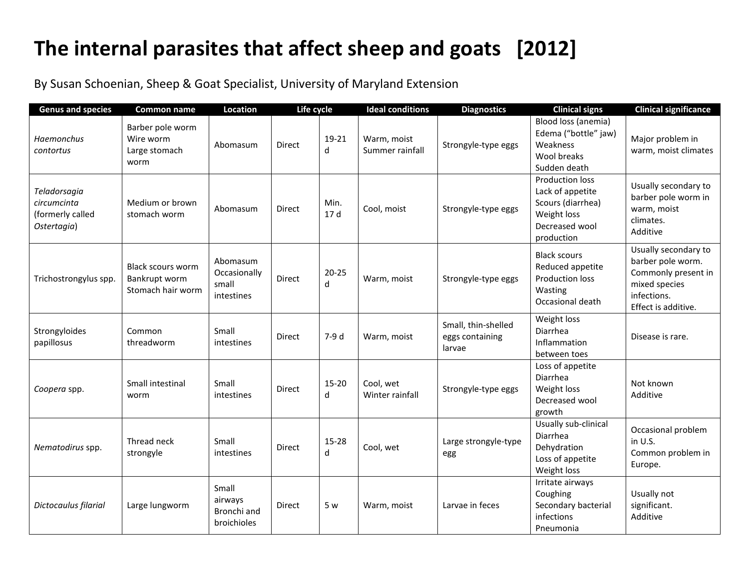## **The internal parasites that affect sheep and goats [2012]**

By Susan Schoenian, Sheep & Goat Specialist, University of Maryland Extension

| <b>Genus and species</b>                                       | <b>Common name</b>                                      | Location                                        | Life cycle    |                  | <b>Ideal conditions</b>        | <b>Diagnostics</b>                               | <b>Clinical signs</b>                                                                                   | <b>Clinical significance</b>                                                                                            |
|----------------------------------------------------------------|---------------------------------------------------------|-------------------------------------------------|---------------|------------------|--------------------------------|--------------------------------------------------|---------------------------------------------------------------------------------------------------------|-------------------------------------------------------------------------------------------------------------------------|
| Haemonchus<br>contortus                                        | Barber pole worm<br>Wire worm<br>Large stomach<br>worm  | Abomasum                                        | Direct        | 19-21<br>d       | Warm, moist<br>Summer rainfall | Strongyle-type eggs                              | Blood loss (anemia)<br>Edema ("bottle" jaw)<br>Weakness<br>Wool breaks<br>Sudden death                  | Major problem in<br>warm, moist climates                                                                                |
| Teladorsagia<br>circumcinta<br>(formerly called<br>Ostertagia) | Medium or brown<br>stomach worm                         | Abomasum                                        | <b>Direct</b> | Min.<br>17 d     | Cool, moist                    | Strongyle-type eggs                              | Production loss<br>Lack of appetite<br>Scours (diarrhea)<br>Weight loss<br>Decreased wool<br>production | Usually secondary to<br>barber pole worm in<br>warm, moist<br>climates.<br>Additive                                     |
| Trichostrongylus spp.                                          | Black scours worm<br>Bankrupt worm<br>Stomach hair worm | Abomasum<br>Occasionally<br>small<br>intestines | Direct        | $20 - 25$<br>d   | Warm, moist                    | Strongyle-type eggs                              | <b>Black scours</b><br>Reduced appetite<br><b>Production loss</b><br>Wasting<br>Occasional death        | Usually secondary to<br>barber pole worm.<br>Commonly present in<br>mixed species<br>infections.<br>Effect is additive. |
| Strongyloides<br>papillosus                                    | Common<br>threadworm                                    | Small<br>intestines                             | Direct        | 7-9 d            | Warm, moist                    | Small, thin-shelled<br>eggs containing<br>larvae | Weight loss<br>Diarrhea<br>Inflammation<br>between toes                                                 | Disease is rare.                                                                                                        |
| Coopera spp.                                                   | Small intestinal<br>worm                                | Small<br>intestines                             | <b>Direct</b> | 15-20<br>$\sf d$ | Cool, wet<br>Winter rainfall   | Strongyle-type eggs                              | Loss of appetite<br>Diarrhea<br>Weight loss<br>Decreased wool<br>growth                                 | Not known<br>Additive                                                                                                   |
| Nematodirus spp.                                               | Thread neck<br>strongyle                                | Small<br>intestines                             | Direct        | 15-28<br>d       | Cool, wet                      | Large strongyle-type<br>egg                      | Usually sub-clinical<br>Diarrhea<br>Dehydration<br>Loss of appetite<br>Weight loss                      | Occasional problem<br>in U.S.<br>Common problem in<br>Europe.                                                           |
| Dictocaulus filarial                                           | Large lungworm                                          | Small<br>airways<br>Bronchi and<br>broichioles  | Direct        | 5 w              | Warm, moist                    | Larvae in feces                                  | Irritate airways<br>Coughing<br>Secondary bacterial<br>infections<br>Pneumonia                          | Usually not<br>significant.<br>Additive                                                                                 |